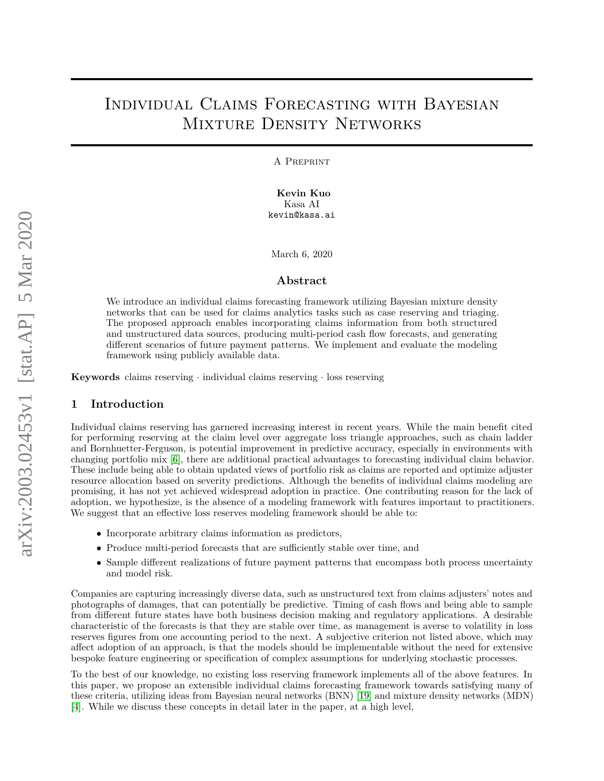# Individual Claims Forecasting with Bayesian Mixture Density Networks

A Preprint

**Kevin Kuo** Kasa AI kevin@kasa.ai

March 6, 2020

## **Abstract**

We introduce an individual claims forecasting framework utilizing Bayesian mixture density networks that can be used for claims analytics tasks such as case reserving and triaging. The proposed approach enables incorporating claims information from both structured and unstructured data sources, producing multi-period cash flow forecasts, and generating different scenarios of future payment patterns. We implement and evaluate the modeling framework using publicly available data.

**Keywords** claims reserving · individual claims reserving · loss reserving

# **1 Introduction**

Individual claims reserving has garnered increasing interest in recent years. While the main benefit cited for performing reserving at the claim level over aggregate loss triangle approaches, such as chain ladder and Bornhuetter-Ferguson, is potential improvement in predictive accuracy, especially in environments with changing portfolio mix [\[6\]](#page-11-0), there are additional practical advantages to forecasting individual claim behavior. These include being able to obtain updated views of portfolio risk as claims are reported and optimize adjuster resource allocation based on severity predictions. Although the benefits of individual claims modeling are promising, it has not yet achieved widespread adoption in practice. One contributing reason for the lack of adoption, we hypothesize, is the absence of a modeling framework with features important to practitioners. We suggest that an effective loss reserves modeling framework should be able to:

- Incorporate arbitrary claims information as predictors,
- Produce multi-period forecasts that are sufficiently stable over time, and
- Sample different realizations of future payment patterns that encompass both process uncertainty and model risk.

Companies are capturing increasingly diverse data, such as unstructured text from claims adjusters' notes and photographs of damages, that can potentially be predictive. Timing of cash flows and being able to sample from different future states have both business decision making and regulatory applications. A desirable characteristic of the forecasts is that they are stable over time, as management is averse to volatility in loss reserves figures from one accounting period to the next. A subjective criterion not listed above, which may affect adoption of an approach, is that the models should be implementable without the need for extensive bespoke feature engineering or specification of complex assumptions for underlying stochastic processes.

To the best of our knowledge, no existing loss reserving framework implements all of the above features. In this paper, we propose an extensible individual claims forecasting framework towards satisfying many of these criteria, utilizing ideas from Bayesian neural networks (BNN) [\[19\]](#page-11-1) and mixture density networks (MDN) [\[4\]](#page-11-2). While we discuss these concepts in detail later in the paper, at a high level,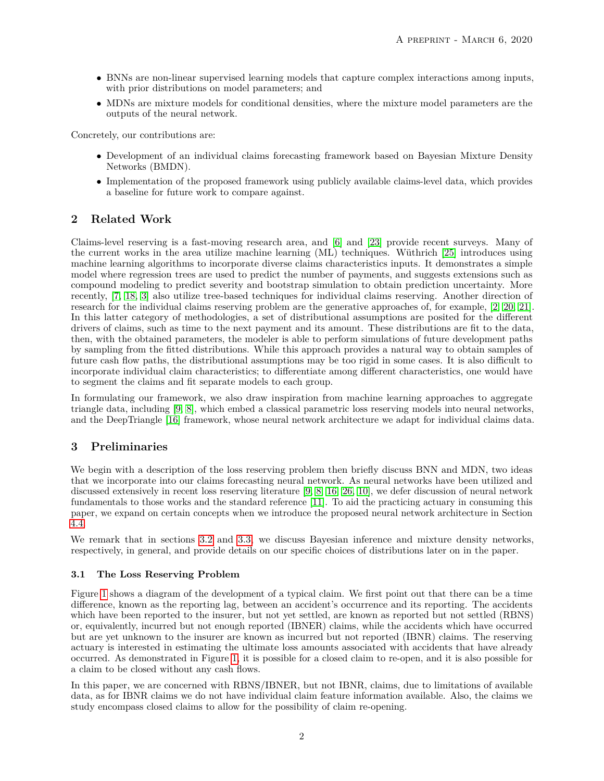- BNNs are non-linear supervised learning models that capture complex interactions among inputs, with prior distributions on model parameters; and
- MDNs are mixture models for conditional densities, where the mixture model parameters are the outputs of the neural network.

Concretely, our contributions are:

- Development of an individual claims forecasting framework based on Bayesian Mixture Density Networks (BMDN).
- Implementation of the proposed framework using publicly available claims-level data, which provides a baseline for future work to compare against.

# **2 Related Work**

Claims-level reserving is a fast-moving research area, and [\[6\]](#page-11-0) and [\[23\]](#page-11-3) provide recent surveys. Many of the current works in the area utilize machine learning (ML) techniques. Wüthrich [\[25\]](#page-11-4) introduces using machine learning algorithms to incorporate diverse claims characteristics inputs. It demonstrates a simple model where regression trees are used to predict the number of payments, and suggests extensions such as compound modeling to predict severity and bootstrap simulation to obtain prediction uncertainty. More recently, [\[7,](#page-11-5) [18,](#page-11-6) [3\]](#page-10-0) also utilize tree-based techniques for individual claims reserving. Another direction of research for the individual claims reserving problem are the generative approaches of, for example, [\[2,](#page-10-1) [20,](#page-11-7) [21\]](#page-11-8). In this latter category of methodologies, a set of distributional assumptions are posited for the different drivers of claims, such as time to the next payment and its amount. These distributions are fit to the data, then, with the obtained parameters, the modeler is able to perform simulations of future development paths by sampling from the fitted distributions. While this approach provides a natural way to obtain samples of future cash flow paths, the distributional assumptions may be too rigid in some cases. It is also difficult to incorporate individual claim characteristics; to differentiate among different characteristics, one would have to segment the claims and fit separate models to each group.

In formulating our framework, we also draw inspiration from machine learning approaches to aggregate triangle data, including [\[9,](#page-11-9) [8\]](#page-11-10), which embed a classical parametric loss reserving models into neural networks, and the DeepTriangle [\[16\]](#page-11-11) framework, whose neural network architecture we adapt for individual claims data.

# **3 Preliminaries**

We begin with a description of the loss reserving problem then briefly discuss BNN and MDN, two ideas that we incorporate into our claims forecasting neural network. As neural networks have been utilized and discussed extensively in recent loss reserving literature [\[9,](#page-11-9) [8,](#page-11-10) [16,](#page-11-11) [26,](#page-11-12) [10\]](#page-11-13), we defer discussion of neural network fundamentals to those works and the standard reference [\[11\]](#page-11-14). To aid the practicing actuary in consuming this paper, we expand on certain concepts when we introduce the proposed neural network architecture in Section [4.4.](#page-5-0)

We remark that in sections [3.2](#page-2-0) and [3.3,](#page-3-0) we discuss Bayesian inference and mixture density networks, respectively, in general, and provide details on our specific choices of distributions later on in the paper.

## **3.1 The Loss Reserving Problem**

Figure [1](#page-2-1) shows a diagram of the development of a typical claim. We first point out that there can be a time difference, known as the reporting lag, between an accident's occurrence and its reporting. The accidents which have been reported to the insurer, but not yet settled, are known as reported but not settled (RBNS) or, equivalently, incurred but not enough reported (IBNER) claims, while the accidents which have occurred but are yet unknown to the insurer are known as incurred but not reported (IBNR) claims. The reserving actuary is interested in estimating the ultimate loss amounts associated with accidents that have already occurred. As demonstrated in Figure [1,](#page-2-1) it is possible for a closed claim to re-open, and it is also possible for a claim to be closed without any cash flows.

In this paper, we are concerned with RBNS/IBNER, but not IBNR, claims, due to limitations of available data, as for IBNR claims we do not have individual claim feature information available. Also, the claims we study encompass closed claims to allow for the possibility of claim re-opening.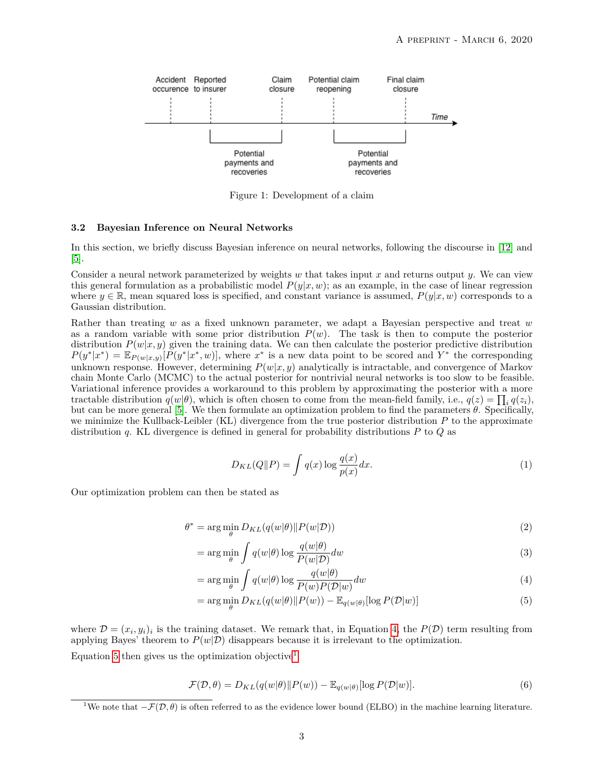

<span id="page-2-1"></span>Figure 1: Development of a claim

#### <span id="page-2-0"></span>**3.2 Bayesian Inference on Neural Networks**

In this section, we briefly discuss Bayesian inference on neural networks, following the discourse in [\[12\]](#page-11-15) and [\[5\]](#page-11-16).

Consider a neural network parameterized by weights *w* that takes input *x* and returns output *y*. We can view this general formulation as a probabilistic model  $P(y|x, w)$ ; as an example, in the case of linear regression where  $y \in \mathbb{R}$ , mean squared loss is specified, and constant variance is assumed,  $P(y|x, w)$  corresponds to a Gaussian distribution.

Rather than treating *w* as a fixed unknown parameter, we adapt a Bayesian perspective and treat *w* as a random variable with some prior distribution  $P(w)$ . The task is then to compute the posterior distribution  $P(w|x, y)$  given the training data. We can then calculate the posterior predictive distribution  $P(y^*|x^*) = \mathbb{E}_{P(w|x,y)}[P(y^*|x^*,w)]$ , where  $x^*$  is a new data point to be scored and  $Y^*$  the corresponding unknown response. However, determining *P*(*w*|*x, y*) analytically is intractable, and convergence of Markov chain Monte Carlo (MCMC) to the actual posterior for nontrivial neural networks is too slow to be feasible. Variational inference provides a workaround to this problem by approximating the posterior with a more tractable distribution  $q(w|\theta)$ , which is often chosen to come from the mean-field family, i.e.,  $q(z) = \prod_i q(z_i)$ , but can be more general [\[5\]](#page-11-16). We then formulate an optimization problem to find the parameters *θ*. Specifically, we minimize the Kullback-Leibler (KL) divergence from the true posterior distribution *P* to the approximate distribution *q*. KL divergence is defined in general for probability distributions *P* to *Q* as

<span id="page-2-3"></span><span id="page-2-2"></span>
$$
D_{KL}(Q||P) = \int q(x) \log \frac{q(x)}{p(x)} dx.
$$
\n(1)

Our optimization problem can then be stated as

$$
\theta^* = \arg\min_{\theta} D_{KL}(q(w|\theta) \| P(w|\mathcal{D}))
$$
\n(2)

$$
= \arg\min_{\theta} \int q(w|\theta) \log \frac{q(w|\theta)}{P(w|\mathcal{D})} dw
$$
\n(3)

$$
= \arg\min_{\theta} \int q(w|\theta) \log \frac{q(w|\theta)}{P(w)P(\mathcal{D}|w)} dw \tag{4}
$$

$$
= \arg\min_{\theta} D_{KL}(q(w|\theta) \| P(w)) - \mathbb{E}_{q(w|\theta)}[\log P(\mathcal{D}|w)] \tag{5}
$$

where  $\mathcal{D} = (x_i, y_i)_i$  is the training dataset. We remark that, in Equation [4,](#page-2-2) the  $P(\mathcal{D})$  term resulting from applying Bayes' theorem to  $P(w|\mathcal{D})$  disappears because it is irrelevant to the optimization.

Equation [5](#page-2-3) then gives us the optimization objective<sup>[1](#page-2-4)</sup>

$$
\mathcal{F}(\mathcal{D}, \theta) = D_{KL}(q(w|\theta) \| P(w)) - \mathbb{E}_{q(w|\theta)}[\log P(\mathcal{D}|w)].
$$
\n(6)

<span id="page-2-4"></span><sup>&</sup>lt;sup>1</sup>We note that  $-\mathcal{F}(\mathcal{D}, \theta)$  is often referred to as the evidence lower bound (ELBO) in the machine learning literature.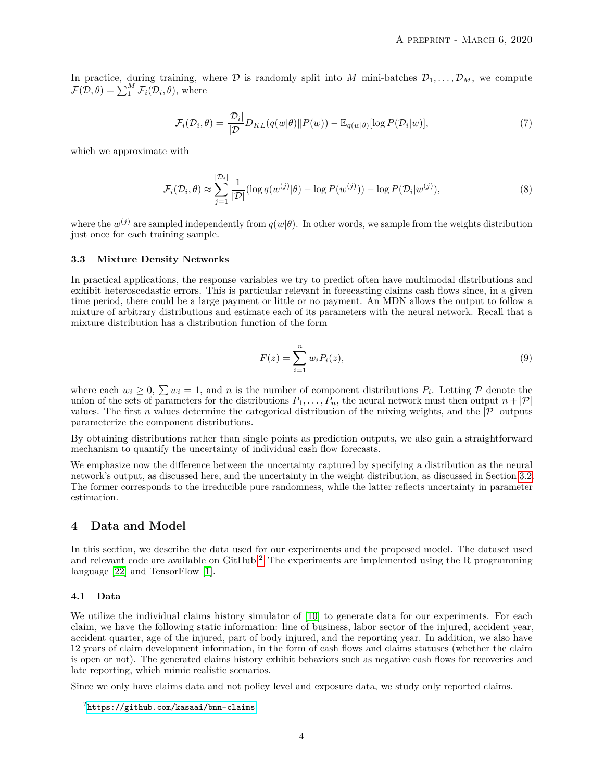In practice, during training, where  $D$  is randomly split into *M* mini-batches  $D_1, \ldots, D_M$ , we compute  $\mathcal{F}(\mathcal{D}, \theta) = \sum_{i=1}^{M} \mathcal{F}_i(\mathcal{D}_i, \theta)$ , where

$$
\mathcal{F}_i(\mathcal{D}_i, \theta) = \frac{|\mathcal{D}_i|}{|\mathcal{D}|} D_{KL}(q(w|\theta) || P(w)) - \mathbb{E}_{q(w|\theta)}[\log P(\mathcal{D}_i|w)],\tag{7}
$$

which we approximate with

$$
\mathcal{F}_i(\mathcal{D}_i, \theta) \approx \sum_{j=1}^{|\mathcal{D}_i|} \frac{1}{|\mathcal{D}|} (\log q(w^{(j)}|\theta) - \log P(w^{(j)})) - \log P(\mathcal{D}_i|w^{(j)}), \tag{8}
$$

where the  $w^{(j)}$  are sampled independently from  $q(w|\theta)$ . In other words, we sample from the weights distribution just once for each training sample.

#### <span id="page-3-0"></span>**3.3 Mixture Density Networks**

In practical applications, the response variables we try to predict often have multimodal distributions and exhibit heteroscedastic errors. This is particular relevant in forecasting claims cash flows since, in a given time period, there could be a large payment or little or no payment. An MDN allows the output to follow a mixture of arbitrary distributions and estimate each of its parameters with the neural network. Recall that a mixture distribution has a distribution function of the form

$$
F(z) = \sum_{i=1}^{n} w_i P_i(z),
$$
\n(9)

where each  $w_i \geq 0$ ,  $\sum w_i = 1$ , and *n* is the number of component distributions  $P_i$ . Letting  $P$  denote the union of the sets of parameters for the distributions  $P_1, \ldots, P_n$ , the neural network must then output  $n + |\mathcal{P}|$ values. The first *n* values determine the categorical distribution of the mixing weights, and the  $|\mathcal{P}|$  outputs parameterize the component distributions.

By obtaining distributions rather than single points as prediction outputs, we also gain a straightforward mechanism to quantify the uncertainty of individual cash flow forecasts.

We emphasize now the difference between the uncertainty captured by specifying a distribution as the neural network's output, as discussed here, and the uncertainty in the weight distribution, as discussed in Section [3.2.](#page-2-0) The former corresponds to the irreducible pure randomness, while the latter reflects uncertainty in parameter estimation.

# **4 Data and Model**

In this section, we describe the data used for our experiments and the proposed model. The dataset used and relevant code are available on  $G$ itHub.<sup>[2](#page-3-1)</sup> The experiments are implemented using the R programming language [\[22\]](#page-11-17) and TensorFlow [\[1\]](#page-10-2).

#### **4.1 Data**

We utilize the individual claims history simulator of [\[10\]](#page-11-13) to generate data for our experiments. For each claim, we have the following static information: line of business, labor sector of the injured, accident year, accident quarter, age of the injured, part of body injured, and the reporting year. In addition, we also have 12 years of claim development information, in the form of cash flows and claims statuses (whether the claim is open or not). The generated claims history exhibit behaviors such as negative cash flows for recoveries and late reporting, which mimic realistic scenarios.

Since we only have claims data and not policy level and exposure data, we study only reported claims.

<span id="page-3-1"></span> $^{2}$ <https://github.com/kasaai/bnn-claims>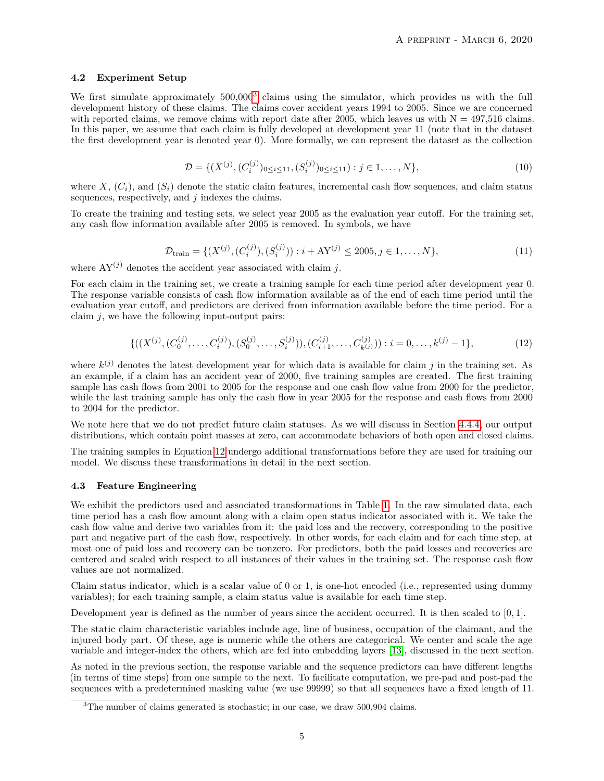#### **4.2 Experiment Setup**

We first simulate approximately  $500,000^3$  $500,000^3$  claims using the simulator, which provides us with the full development history of these claims. The claims cover accident years 1994 to 2005. Since we are concerned with reported claims, we remove claims with report date after 2005, which leaves us with  $N = 497,516$  claims. In this paper, we assume that each claim is fully developed at development year 11 (note that in the dataset the first development year is denoted year 0). More formally, we can represent the dataset as the collection

$$
\mathcal{D} = \{ (X^{(j)}, (C_i^{(j)})_{0 \le i \le 11}, (S_i^{(j)})_{0 \le i \le 11}) : j \in 1, \dots, N \},\tag{10}
$$

where  $X, (C_i)$ , and  $(S_i)$  denote the static claim features, incremental cash flow sequences, and claim status sequences, respectively, and *j* indexes the claims.

To create the training and testing sets, we select year 2005 as the evaluation year cutoff. For the training set, any cash flow information available after 2005 is removed. In symbols, we have

$$
\mathcal{D}_{\text{train}} = \{ (X^{(j)}, (C_i^{(j)}), (S_i^{(j)})): i + \text{AY}^{(j)} \le 2005, j \in 1, \dots, N \},\tag{11}
$$

where  $AY^{(j)}$  denotes the accident year associated with claim *j*.

For each claim in the training set, we create a training sample for each time period after development year 0. The response variable consists of cash flow information available as of the end of each time period until the evaluation year cutoff, and predictors are derived from information available before the time period. For a claim *j*, we have the following input-output pairs:

$$
\{((X^{(j)}, (C_0^{(j)}, \ldots, C_i^{(j)}), (S_0^{(j)}, \ldots, S_i^{(j)})), (C_{i+1}^{(j)}, \ldots, C_{k}^{(j)})) : i = 0, \ldots, k^{(j)} - 1\},\tag{12}
$$

<span id="page-4-1"></span>where  $k^{(j)}$  denotes the latest development year for which data is available for claim  $j$  in the training set. As an example, if a claim has an accident year of 2000, five training samples are created. The first training sample has cash flows from 2001 to 2005 for the response and one cash flow value from 2000 for the predictor, while the last training sample has only the cash flow in year 2005 for the response and cash flows from 2000 to 2004 for the predictor.

We note here that we do not predict future claim statuses. As we will discuss in Section [4.4.4,](#page-6-0) our output distributions, which contain point masses at zero, can accommodate behaviors of both open and closed claims.

The training samples in Equation [12](#page-4-1) undergo additional transformations before they are used for training our model. We discuss these transformations in detail in the next section.

#### <span id="page-4-2"></span>**4.3 Feature Engineering**

We exhibit the predictors used and associated transformations in Table [1.](#page-5-1) In the raw simulated data, each time period has a cash flow amount along with a claim open status indicator associated with it. We take the cash flow value and derive two variables from it: the paid loss and the recovery, corresponding to the positive part and negative part of the cash flow, respectively. In other words, for each claim and for each time step, at most one of paid loss and recovery can be nonzero. For predictors, both the paid losses and recoveries are centered and scaled with respect to all instances of their values in the training set. The response cash flow values are not normalized.

Claim status indicator, which is a scalar value of 0 or 1, is one-hot encoded (i.e., represented using dummy variables); for each training sample, a claim status value is available for each time step.

Development year is defined as the number of years since the accident occurred. It is then scaled to [0*,* 1].

The static claim characteristic variables include age, line of business, occupation of the claimant, and the injured body part. Of these, age is numeric while the others are categorical. We center and scale the age variable and integer-index the others, which are fed into embedding layers [\[13\]](#page-11-18), discussed in the next section.

As noted in the previous section, the response variable and the sequence predictors can have different lengths (in terms of time steps) from one sample to the next. To facilitate computation, we pre-pad and post-pad the sequences with a predetermined masking value (we use 99999) so that all sequences have a fixed length of 11.

<span id="page-4-0"></span><sup>&</sup>lt;sup>3</sup>The number of claims generated is stochastic; in our case, we draw 500,904 claims.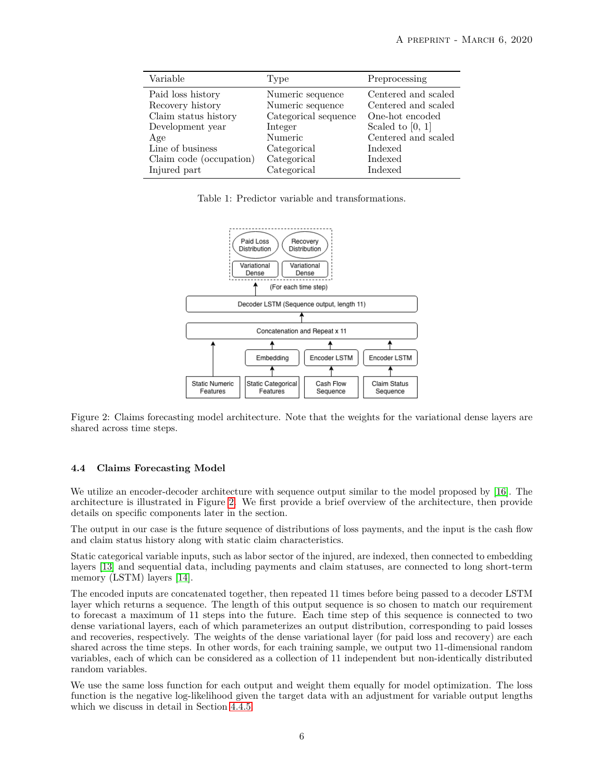| Variable                | Type                 | Preprocessing       |
|-------------------------|----------------------|---------------------|
| Paid loss history       | Numeric sequence     | Centered and scaled |
| Recovery history        | Numeric sequence     | Centered and scaled |
| Claim status history    | Categorical sequence | One-hot encoded     |
| Development year        | Integer              | Scaled to $[0, 1]$  |
| Age                     | Numeric              | Centered and scaled |
| Line of business        | Categorical          | Indexed             |
| Claim code (occupation) | Categorical          | Indexed             |
| Injured part            | Categorical          | Indexed             |

<span id="page-5-1"></span>Table 1: Predictor variable and transformations.



<span id="page-5-2"></span>Figure 2: Claims forecasting model architecture. Note that the weights for the variational dense layers are shared across time steps.

## <span id="page-5-0"></span>**4.4 Claims Forecasting Model**

We utilize an encoder-decoder architecture with sequence output similar to the model proposed by [\[16\]](#page-11-11). The architecture is illustrated in Figure [2.](#page-5-2) We first provide a brief overview of the architecture, then provide details on specific components later in the section.

The output in our case is the future sequence of distributions of loss payments, and the input is the cash flow and claim status history along with static claim characteristics.

Static categorical variable inputs, such as labor sector of the injured, are indexed, then connected to embedding layers [\[13\]](#page-11-18) and sequential data, including payments and claim statuses, are connected to long short-term memory (LSTM) layers [\[14\]](#page-11-19).

The encoded inputs are concatenated together, then repeated 11 times before being passed to a decoder LSTM layer which returns a sequence. The length of this output sequence is so chosen to match our requirement to forecast a maximum of 11 steps into the future. Each time step of this sequence is connected to two dense variational layers, each of which parameterizes an output distribution, corresponding to paid losses and recoveries, respectively. The weights of the dense variational layer (for paid loss and recovery) are each shared across the time steps. In other words, for each training sample, we output two 11-dimensional random variables, each of which can be considered as a collection of 11 independent but non-identically distributed random variables.

We use the same loss function for each output and weight them equally for model optimization. The loss function is the negative log-likelihood given the target data with an adjustment for variable output lengths which we discuss in detail in Section [4.4.5.](#page-7-0)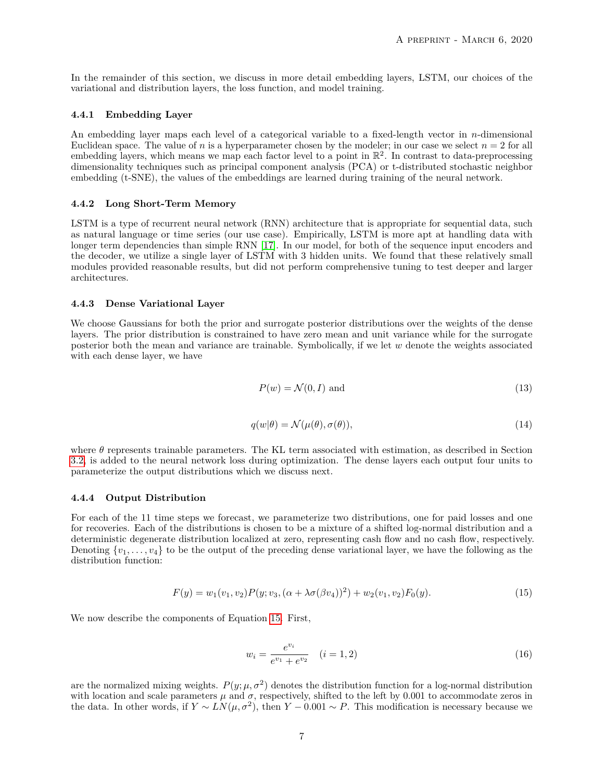In the remainder of this section, we discuss in more detail embedding layers, LSTM, our choices of the variational and distribution layers, the loss function, and model training.

#### **4.4.1 Embedding Layer**

An embedding layer maps each level of a categorical variable to a fixed-length vector in *n*-dimensional Euclidean space. The value of *n* is a hyperparameter chosen by the modeler; in our case we select  $n = 2$  for all embedding layers, which means we map each factor level to a point in  $\mathbb{R}^2$ . In contrast to data-preprocessing dimensionality techniques such as principal component analysis (PCA) or t-distributed stochastic neighbor embedding (t-SNE), the values of the embeddings are learned during training of the neural network.

#### **4.4.2 Long Short-Term Memory**

LSTM is a type of recurrent neural network (RNN) architecture that is appropriate for sequential data, such as natural language or time series (our use case). Empirically, LSTM is more apt at handling data with longer term dependencies than simple RNN [\[17\]](#page-11-20). In our model, for both of the sequence input encoders and the decoder, we utilize a single layer of LSTM with 3 hidden units. We found that these relatively small modules provided reasonable results, but did not perform comprehensive tuning to test deeper and larger architectures.

#### **4.4.3 Dense Variational Layer**

We choose Gaussians for both the prior and surrogate posterior distributions over the weights of the dense layers. The prior distribution is constrained to have zero mean and unit variance while for the surrogate posterior both the mean and variance are trainable. Symbolically, if we let *w* denote the weights associated with each dense layer, we have

$$
P(w) = \mathcal{N}(0, I) \text{ and } \tag{13}
$$

$$
q(w|\theta) = \mathcal{N}(\mu(\theta), \sigma(\theta)),\tag{14}
$$

where  $\theta$  represents trainable parameters. The KL term associated with estimation, as described in Section [3.2,](#page-2-0) is added to the neural network loss during optimization. The dense layers each output four units to parameterize the output distributions which we discuss next.

#### <span id="page-6-0"></span>**4.4.4 Output Distribution**

For each of the 11 time steps we forecast, we parameterize two distributions, one for paid losses and one for recoveries. Each of the distributions is chosen to be a mixture of a shifted log-normal distribution and a deterministic degenerate distribution localized at zero, representing cash flow and no cash flow, respectively. Denoting  $\{v_1, \ldots, v_4\}$  to be the output of the preceding dense variational layer, we have the following as the distribution function:

$$
F(y) = w_1(v_1, v_2)P(y; v_3, (\alpha + \lambda \sigma(\beta v_4))^2) + w_2(v_1, v_2)F_0(y).
$$
\n(15)

<span id="page-6-1"></span>We now describe the components of Equation [15.](#page-6-1) First,

$$
w_i = \frac{e^{v_i}}{e^{v_1} + e^{v_2}} \quad (i = 1, 2)
$$
\n(16)

are the normalized mixing weights.  $P(y; \mu, \sigma^2)$  denotes the distribution function for a log-normal distribution with location and scale parameters  $\mu$  and  $\sigma$ , respectively, shifted to the left by 0.001 to accommodate zeros in the data. In other words, if  $Y \sim LN(\mu, \sigma^2)$ , then  $Y - 0.001 \sim P$ . This modification is necessary because we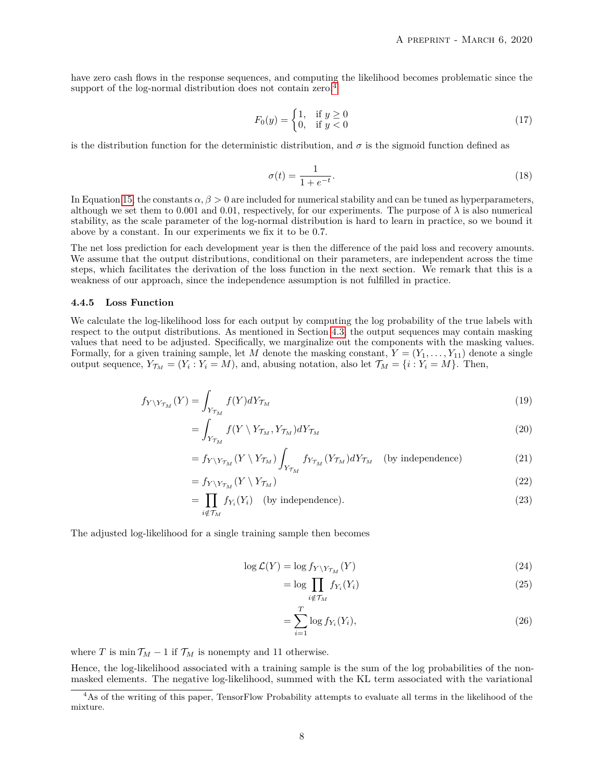have zero cash flows in the response sequences, and computing the likelihood becomes problematic since the support of the log-normal distribution does not contain zero.<sup>[4](#page-7-1)</sup>

$$
F_0(y) = \begin{cases} 1, & \text{if } y \ge 0 \\ 0, & \text{if } y < 0 \end{cases} \tag{17}
$$

is the distribution function for the deterministic distribution, and  $\sigma$  is the sigmoid function defined as

$$
\sigma(t) = \frac{1}{1 + e^{-t}}.\tag{18}
$$

In Equation [15,](#page-6-1) the constants  $\alpha, \beta > 0$  are included for numerical stability and can be tuned as hyperparameters, although we set them to 0.001 and 0.01, respectively, for our experiments. The purpose of  $\lambda$  is also numerical stability, as the scale parameter of the log-normal distribution is hard to learn in practice, so we bound it above by a constant. In our experiments we fix it to be 0*.*7.

The net loss prediction for each development year is then the difference of the paid loss and recovery amounts. We assume that the output distributions, conditional on their parameters, are independent across the time steps, which facilitates the derivation of the loss function in the next section. We remark that this is a weakness of our approach, since the independence assumption is not fulfilled in practice.

#### <span id="page-7-0"></span>**4.4.5 Loss Function**

We calculate the log-likelihood loss for each output by computing the log probability of the true labels with respect to the output distributions. As mentioned in Section [4.3,](#page-4-2) the output sequences may contain masking values that need to be adjusted. Specifically, we marginalize out the components with the masking values. Formally, for a given training sample, let *M* denote the masking constant,  $Y = (Y_1, \ldots, Y_{11})$  denote a single output sequence,  $Y_{\mathcal{T}_M} = (Y_i : Y_i = M)$ , and, abusing notation, also let  $\mathcal{T}_M = \{i : Y_i = M\}$ . Then,

$$
f_{Y\setminus Y_{\mathcal{T}_M}}(Y) = \int_{Y_{\mathcal{T}_M}} f(Y) dY_{\mathcal{T}_M} \tag{19}
$$

$$
=\int_{Y_{\mathcal{T}_M}} f(Y \setminus Y_{\mathcal{T}_M}, Y_{\mathcal{T}_M}) dY_{\mathcal{T}_M} \tag{20}
$$

$$
= f_{Y\setminus Y_{\mathcal{T}_M}}(Y\setminus Y_{\mathcal{T}_M}) \int_{Y_{\mathcal{T}_M}} f_{Y_{\mathcal{T}_M}}(Y_{\mathcal{T}_M}) dY_{\mathcal{T}_M} \quad \text{(by independence)} \tag{21}
$$

$$
=f_{Y\setminus Y_{\mathcal{T}_M}}(Y\setminus Y_{\mathcal{T}_M})\tag{22}
$$

$$
= \prod_{i \notin \mathcal{T}_M} f_{Y_i}(Y_i) \quad \text{(by independence)}.
$$
 (23)

The adjusted log-likelihood for a single training sample then becomes

$$
\log \mathcal{L}(Y) = \log f_{Y \setminus Y_{\mathcal{T}_M}}(Y) \tag{24}
$$

$$
= \log \prod_{i \notin \mathcal{T}_M} f_{Y_i}(Y_i)
$$
\n<sup>(25)</sup>

$$
=\sum_{i=1}^{T}\log f_{Y_i}(Y_i),\tag{26}
$$

where *T* is min  $\mathcal{T}_M - 1$  if  $\mathcal{T}_M$  is nonempty and 11 otherwise.

Hence, the log-likelihood associated with a training sample is the sum of the log probabilities of the nonmasked elements. The negative log-likelihood, summed with the KL term associated with the variational

<span id="page-7-1"></span><sup>4</sup>As of the writing of this paper, TensorFlow Probability attempts to evaluate all terms in the likelihood of the mixture.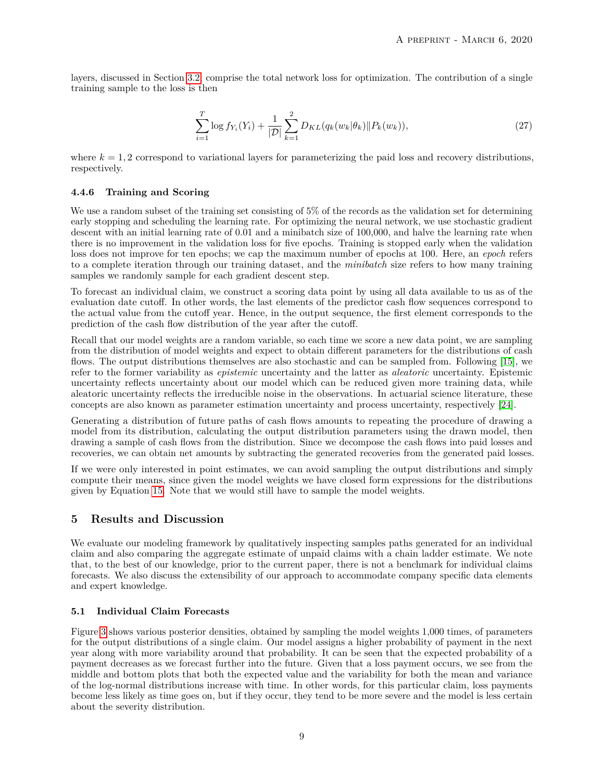layers, discussed in Section [3.2,](#page-2-0) comprise the total network loss for optimization. The contribution of a single training sample to the loss is then

$$
\sum_{i=1}^{T} \log f_{Y_i}(Y_i) + \frac{1}{|\mathcal{D}|} \sum_{k=1}^{2} D_{KL}(q_k(w_k|\theta_k) \| P_k(w_k)),\tag{27}
$$

where  $k = 1, 2$  correspond to variational layers for parameterizing the paid loss and recovery distributions, respectively.

## **4.4.6 Training and Scoring**

We use a random subset of the training set consisting of 5% of the records as the validation set for determining early stopping and scheduling the learning rate. For optimizing the neural network, we use stochastic gradient descent with an initial learning rate of  $0.01$  and a minibatch size of 100,000, and halve the learning rate when there is no improvement in the validation loss for five epochs. Training is stopped early when the validation loss does not improve for ten epochs; we cap the maximum number of epochs at 100. Here, an *epoch* refers to a complete iteration through our training dataset, and the *minibatch* size refers to how many training samples we randomly sample for each gradient descent step.

To forecast an individual claim, we construct a scoring data point by using all data available to us as of the evaluation date cutoff. In other words, the last elements of the predictor cash flow sequences correspond to the actual value from the cutoff year. Hence, in the output sequence, the first element corresponds to the prediction of the cash flow distribution of the year after the cutoff.

Recall that our model weights are a random variable, so each time we score a new data point, we are sampling from the distribution of model weights and expect to obtain different parameters for the distributions of cash flows. The output distributions themselves are also stochastic and can be sampled from. Following [\[15\]](#page-11-21), we refer to the former variability as *epistemic* uncertainty and the latter as *aleatoric* uncertainty. Epistemic uncertainty reflects uncertainty about our model which can be reduced given more training data, while aleatoric uncertainty reflects the irreducible noise in the observations. In actuarial science literature, these concepts are also known as parameter estimation uncertainty and process uncertainty, respectively [\[24\]](#page-11-22).

Generating a distribution of future paths of cash flows amounts to repeating the procedure of drawing a model from its distribution, calculating the output distribution parameters using the drawn model, then drawing a sample of cash flows from the distribution. Since we decompose the cash flows into paid losses and recoveries, we can obtain net amounts by subtracting the generated recoveries from the generated paid losses.

If we were only interested in point estimates, we can avoid sampling the output distributions and simply compute their means, since given the model weights we have closed form expressions for the distributions given by Equation [15.](#page-6-1) Note that we would still have to sample the model weights.

# **5 Results and Discussion**

We evaluate our modeling framework by qualitatively inspecting samples paths generated for an individual claim and also comparing the aggregate estimate of unpaid claims with a chain ladder estimate. We note that, to the best of our knowledge, prior to the current paper, there is not a benchmark for individual claims forecasts. We also discuss the extensibility of our approach to accommodate company specific data elements and expert knowledge.

# **5.1 Individual Claim Forecasts**

Figure [3](#page-9-0) shows various posterior densities, obtained by sampling the model weights 1,000 times, of parameters for the output distributions of a single claim. Our model assigns a higher probability of payment in the next year along with more variability around that probability. It can be seen that the expected probability of a payment decreases as we forecast further into the future. Given that a loss payment occurs, we see from the middle and bottom plots that both the expected value and the variability for both the mean and variance of the log-normal distributions increase with time. In other words, for this particular claim, loss payments become less likely as time goes on, but if they occur, they tend to be more severe and the model is less certain about the severity distribution.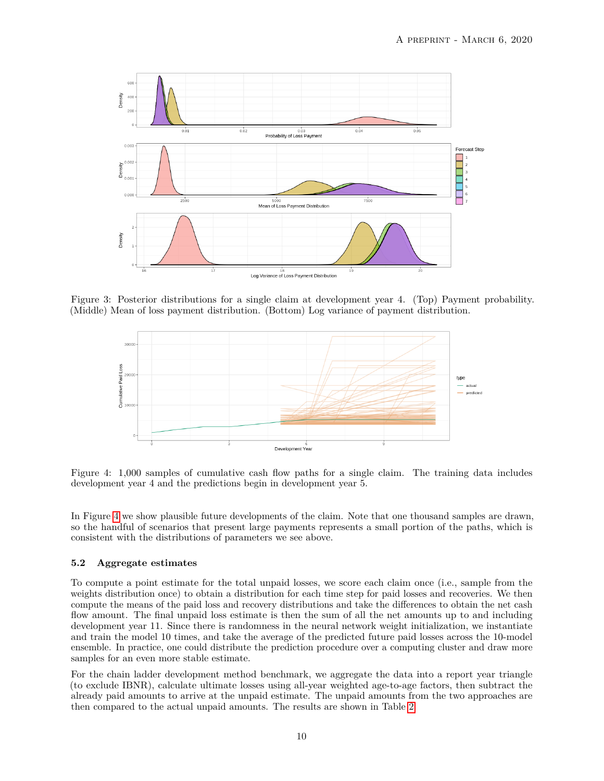

Figure 3: Posterior distributions for a single claim at development year 4. (Top) Payment probability. (Middle) Mean of loss payment distribution. (Bottom) Log variance of payment distribution.

<span id="page-9-0"></span>

<span id="page-9-1"></span>Figure 4: 1,000 samples of cumulative cash flow paths for a single claim. The training data includes development year 4 and the predictions begin in development year 5.

In Figure [4](#page-9-1) we show plausible future developments of the claim. Note that one thousand samples are drawn, so the handful of scenarios that present large payments represents a small portion of the paths, which is consistent with the distributions of parameters we see above.

# **5.2 Aggregate estimates**

To compute a point estimate for the total unpaid losses, we score each claim once (i.e., sample from the weights distribution once) to obtain a distribution for each time step for paid losses and recoveries. We then compute the means of the paid loss and recovery distributions and take the differences to obtain the net cash flow amount. The final unpaid loss estimate is then the sum of all the net amounts up to and including development year 11. Since there is randomness in the neural network weight initialization, we instantiate and train the model 10 times, and take the average of the predicted future paid losses across the 10-model ensemble. In practice, one could distribute the prediction procedure over a computing cluster and draw more samples for an even more stable estimate.

For the chain ladder development method benchmark, we aggregate the data into a report year triangle (to exclude IBNR), calculate ultimate losses using all-year weighted age-to-age factors, then subtract the already paid amounts to arrive at the unpaid estimate. The unpaid amounts from the two approaches are then compared to the actual unpaid amounts. The results are shown in Table [2.](#page-10-3)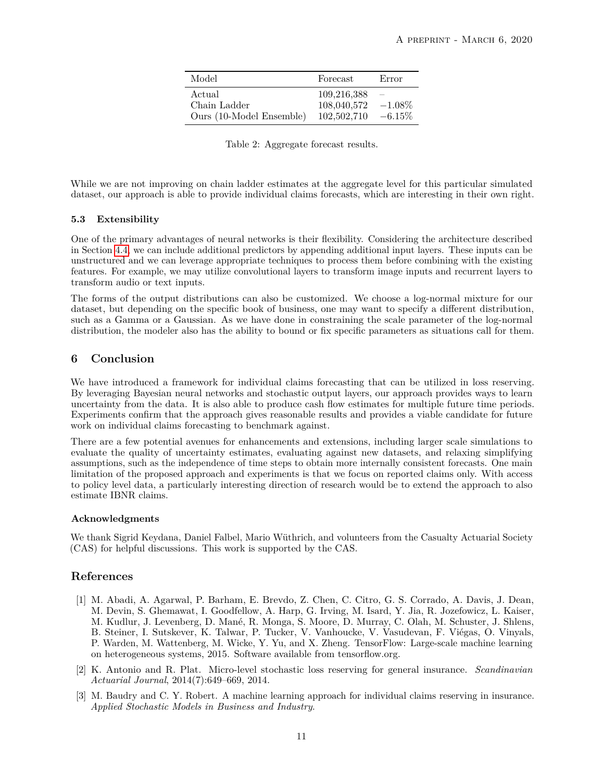| Model                                              | Forecast                                  | Error                  |
|----------------------------------------------------|-------------------------------------------|------------------------|
| Actual<br>Chain Ladder<br>Ours (10-Model Ensemble) | 109,216,388<br>108,040,572<br>102,502,710 | $-1.08\%$<br>$-6.15\%$ |

<span id="page-10-3"></span>Table 2: Aggregate forecast results.

While we are not improving on chain ladder estimates at the aggregate level for this particular simulated dataset, our approach is able to provide individual claims forecasts, which are interesting in their own right.

#### **5.3 Extensibility**

One of the primary advantages of neural networks is their flexibility. Considering the architecture described in Section [4.4,](#page-5-0) we can include additional predictors by appending additional input layers. These inputs can be unstructured and we can leverage appropriate techniques to process them before combining with the existing features. For example, we may utilize convolutional layers to transform image inputs and recurrent layers to transform audio or text inputs.

The forms of the output distributions can also be customized. We choose a log-normal mixture for our dataset, but depending on the specific book of business, one may want to specify a different distribution, such as a Gamma or a Gaussian. As we have done in constraining the scale parameter of the log-normal distribution, the modeler also has the ability to bound or fix specific parameters as situations call for them.

# **6 Conclusion**

We have introduced a framework for individual claims forecasting that can be utilized in loss reserving. By leveraging Bayesian neural networks and stochastic output layers, our approach provides ways to learn uncertainty from the data. It is also able to produce cash flow estimates for multiple future time periods. Experiments confirm that the approach gives reasonable results and provides a viable candidate for future work on individual claims forecasting to benchmark against.

There are a few potential avenues for enhancements and extensions, including larger scale simulations to evaluate the quality of uncertainty estimates, evaluating against new datasets, and relaxing simplifying assumptions, such as the independence of time steps to obtain more internally consistent forecasts. One main limitation of the proposed approach and experiments is that we focus on reported claims only. With access to policy level data, a particularly interesting direction of research would be to extend the approach to also estimate IBNR claims.

#### **Acknowledgments**

We thank Sigrid Keydana, Daniel Falbel, Mario Wüthrich, and volunteers from the Casualty Actuarial Society (CAS) for helpful discussions. This work is supported by the CAS.

# **References**

- <span id="page-10-2"></span>[1] M. Abadi, A. Agarwal, P. Barham, E. Brevdo, Z. Chen, C. Citro, G. S. Corrado, A. Davis, J. Dean, M. Devin, S. Ghemawat, I. Goodfellow, A. Harp, G. Irving, M. Isard, Y. Jia, R. Jozefowicz, L. Kaiser, M. Kudlur, J. Levenberg, D. Mané, R. Monga, S. Moore, D. Murray, C. Olah, M. Schuster, J. Shlens, B. Steiner, I. Sutskever, K. Talwar, P. Tucker, V. Vanhoucke, V. Vasudevan, F. Viégas, O. Vinyals, P. Warden, M. Wattenberg, M. Wicke, Y. Yu, and X. Zheng. TensorFlow: Large-scale machine learning on heterogeneous systems, 2015. Software available from tensorflow.org.
- <span id="page-10-1"></span>[2] K. Antonio and R. Plat. Micro-level stochastic loss reserving for general insurance. *Scandinavian Actuarial Journal*, 2014(7):649–669, 2014.
- <span id="page-10-0"></span>[3] M. Baudry and C. Y. Robert. A machine learning approach for individual claims reserving in insurance. *Applied Stochastic Models in Business and Industry*.